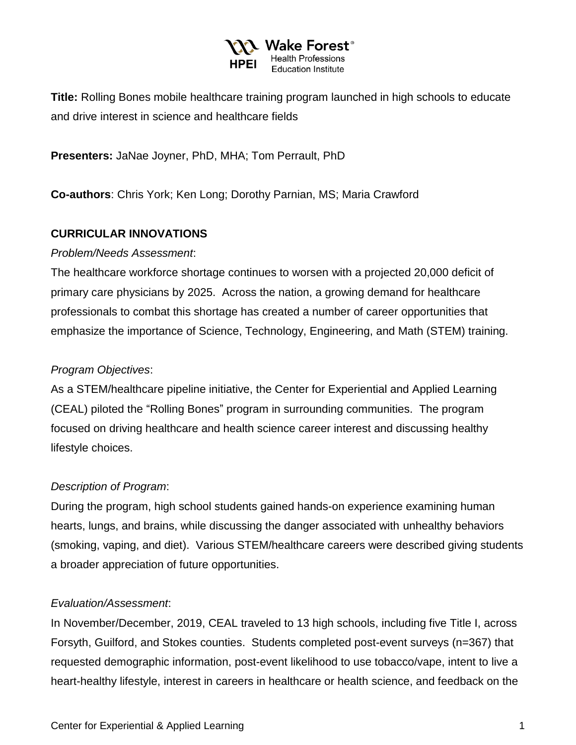

**Title:** Rolling Bones mobile healthcare training program launched in high schools to educate and drive interest in science and healthcare fields

**Presenters:** JaNae Joyner, PhD, MHA; Tom Perrault, PhD

**Co-authors**: Chris York; Ken Long; Dorothy Parnian, MS; Maria Crawford

### **CURRICULAR INNOVATIONS**

#### *Problem/Needs Assessment*:

The healthcare workforce shortage continues to worsen with a projected 20,000 deficit of primary care physicians by 2025. Across the nation, a growing demand for healthcare professionals to combat this shortage has created a number of career opportunities that emphasize the importance of Science, Technology, Engineering, and Math (STEM) training.

# *Program Objectives*:

As a STEM/healthcare pipeline initiative, the Center for Experiential and Applied Learning (CEAL) piloted the "Rolling Bones" program in surrounding communities. The program focused on driving healthcare and health science career interest and discussing healthy lifestyle choices.

# *Description of Program*:

During the program, high school students gained hands-on experience examining human hearts, lungs, and brains, while discussing the danger associated with unhealthy behaviors (smoking, vaping, and diet). Various STEM/healthcare careers were described giving students a broader appreciation of future opportunities.

#### *Evaluation/Assessment*:

In November/December, 2019, CEAL traveled to 13 high schools, including five Title I, across Forsyth, Guilford, and Stokes counties. Students completed post-event surveys (n=367) that requested demographic information, post-event likelihood to use tobacco/vape, intent to live a heart-healthy lifestyle, interest in careers in healthcare or health science, and feedback on the